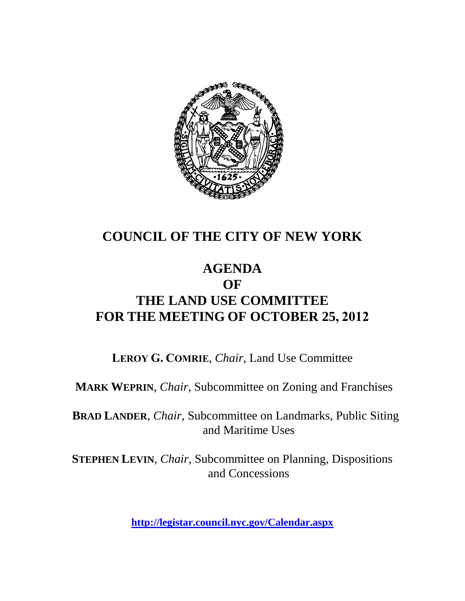

### **COUNCIL OF THE CITY OF NEW YORK**

#### **AGENDA OF THE LAND USE COMMITTEE FOR THE MEETING OF OCTOBER 25, 2012**

**LEROY G. COMRIE**, *Chair*, Land Use Committee

**MARK WEPRIN**, *Chair*, Subcommittee on Zoning and Franchises

**BRAD LANDER**, *Chair*, Subcommittee on Landmarks, Public Siting and Maritime Uses

**STEPHEN LEVIN**, *Chair,* Subcommittee on Planning, Dispositions and Concessions

**<http://legistar.council.nyc.gov/Calendar.aspx>**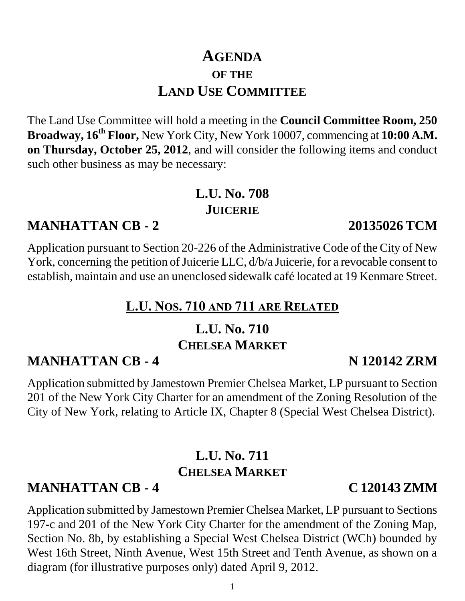### **AGENDA OF THE LAND USE COMMITTEE**

The Land Use Committee will hold a meeting in the **Council Committee Room, 250 Broadway, 16th Floor,** New York City, New York 10007, commencing at **10:00 A.M. on Thursday, October 25, 2012**, and will consider the following items and conduct such other business as may be necessary:

### **L.U. No. 708 JUICERIE**

# **MANHATTAN CB - 2 20135026 TCM**

Application pursuant to Section 20-226 of the Administrative Code of the City of New York, concerning the petition of Juicerie LLC, d/b/a Juicerie, for a revocable consent to establish, maintain and use an unenclosed sidewalk café located at 19 Kenmare Street.

# **L.U. NOS. 710 AND 711 ARE RELATED**

### **L.U. No. 710 CHELSEA MARKET**

# **MANHATTAN CB - 4 N 120142 ZRM**

Application submitted by Jamestown Premier Chelsea Market, LP pursuant to Section 201 of the New York City Charter for an amendment of the Zoning Resolution of the City of New York, relating to Article IX, Chapter 8 (Special West Chelsea District).

# **L.U. No. 711 CHELSEA MARKET**

# **MANHATTAN CB - 4 C 120143 ZMM**

Application submitted by Jamestown Premier Chelsea Market, LP pursuant to Sections 197-c and 201 of the New York City Charter for the amendment of the Zoning Map, Section No. 8b, by establishing a Special West Chelsea District (WCh) bounded by West 16th Street, Ninth Avenue, West 15th Street and Tenth Avenue, as shown on a diagram (for illustrative purposes only) dated April 9, 2012.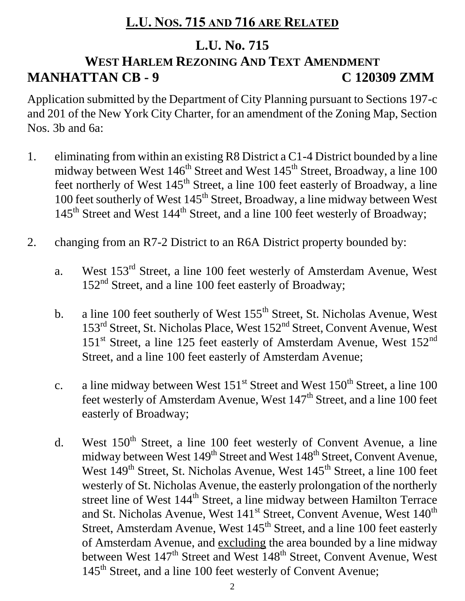### **L.U. NOS. 715 AND 716 ARE RELATED**

#### **L.U. No. 715**

# **WEST HARLEM REZONING AND TEXT AMENDMENT MANHATTAN CB - 9 C 120309 ZMM**

Application submitted by the Department of City Planning pursuant to Sections 197-c and 201 of the New York City Charter, for an amendment of the Zoning Map, Section Nos. 3b and 6a:

- 1. eliminating from within an existing R8 District a C1-4 District bounded by a line midway between West 146<sup>th</sup> Street and West 145<sup>th</sup> Street, Broadway, a line 100 feet northerly of West  $145<sup>th</sup>$  Street, a line 100 feet easterly of Broadway, a line 100 feet southerly of West 145<sup>th</sup> Street, Broadway, a line midway between West 145<sup>th</sup> Street and West 144<sup>th</sup> Street, and a line 100 feet westerly of Broadway;
- 2. changing from an R7-2 District to an R6A District property bounded by:
	- a. West 153rd Street, a line 100 feet westerly of Amsterdam Avenue, West 152<sup>nd</sup> Street, and a line 100 feet easterly of Broadway;
	- b. a line 100 feet southerly of West  $155<sup>th</sup>$  Street, St. Nicholas Avenue, West 153<sup>rd</sup> Street, St. Nicholas Place, West 152<sup>nd</sup> Street, Convent Avenue, West  $151<sup>st</sup>$  Street, a line 125 feet easterly of Amsterdam Avenue, West  $152<sup>nd</sup>$ Street, and a line 100 feet easterly of Amsterdam Avenue;
	- c. a line midway between West  $151^{st}$  Street and West  $150^{th}$  Street, a line 100 feet westerly of Amsterdam Avenue, West 147<sup>th</sup> Street, and a line 100 feet easterly of Broadway;
	- d. West  $150<sup>th</sup>$  Street, a line 100 feet westerly of Convent Avenue, a line midway between West 149<sup>th</sup> Street and West 148<sup>th</sup> Street, Convent Avenue, West 149<sup>th</sup> Street, St. Nicholas Avenue, West 145<sup>th</sup> Street, a line 100 feet westerly of St. Nicholas Avenue, the easterly prolongation of the northerly street line of West 144<sup>th</sup> Street, a line midway between Hamilton Terrace and St. Nicholas Avenue, West 141<sup>st</sup> Street, Convent Avenue, West 140<sup>th</sup> Street, Amsterdam Avenue, West 145<sup>th</sup> Street, and a line 100 feet easterly of Amsterdam Avenue, and excluding the area bounded by a line midway between West 147<sup>th</sup> Street and West 148<sup>th</sup> Street, Convent Avenue, West 145<sup>th</sup> Street, and a line 100 feet westerly of Convent Avenue;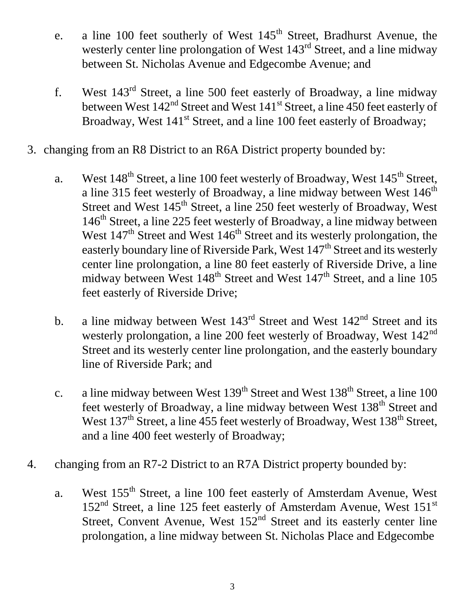- e. a line 100 feet southerly of West  $145<sup>th</sup>$  Street, Bradhurst Avenue, the westerly center line prolongation of West 143<sup>rd</sup> Street, and a line midway between St. Nicholas Avenue and Edgecombe Avenue; and
- f. West 143rd Street, a line 500 feet easterly of Broadway, a line midway between West  $142<sup>nd</sup>$  Street and West  $141<sup>st</sup>$  Street, a line 450 feet easterly of Broadway, West 141<sup>st</sup> Street, and a line 100 feet easterly of Broadway;
- 3. changing from an R8 District to an R6A District property bounded by:
	- a. West  $148^{th}$  Street, a line 100 feet westerly of Broadway, West  $145^{th}$  Street, a line 315 feet westerly of Broadway, a line midway between West  $146<sup>th</sup>$ Street and West 145<sup>th</sup> Street, a line 250 feet westerly of Broadway, West 146<sup>th</sup> Street, a line 225 feet westerly of Broadway, a line midway between West  $147<sup>th</sup>$  Street and West  $146<sup>th</sup>$  Street and its westerly prolongation, the easterly boundary line of Riverside Park, West  $147<sup>th</sup>$  Street and its westerly center line prolongation, a line 80 feet easterly of Riverside Drive, a line midway between West 148<sup>th</sup> Street and West 147<sup>th</sup> Street, and a line 105 feet easterly of Riverside Drive;
	- b. a line midway between West  $143<sup>rd</sup>$  Street and West  $142<sup>nd</sup>$  Street and its westerly prolongation, a line 200 feet westerly of Broadway, West 142<sup>nd</sup> Street and its westerly center line prolongation, and the easterly boundary line of Riverside Park; and
	- c. a line midway between West  $139<sup>th</sup>$  Street and West  $138<sup>th</sup>$  Street, a line 100 feet westerly of Broadway, a line midway between West 138<sup>th</sup> Street and West 137<sup>th</sup> Street, a line 455 feet westerly of Broadway, West 138<sup>th</sup> Street, and a line 400 feet westerly of Broadway;
- 4. changing from an R7-2 District to an R7A District property bounded by:
	- a. West 155<sup>th</sup> Street, a line 100 feet easterly of Amsterdam Avenue, West 152<sup>nd</sup> Street, a line 125 feet easterly of Amsterdam Avenue, West 151<sup>st</sup> Street, Convent Avenue, West  $152<sup>nd</sup>$  Street and its easterly center line prolongation, a line midway between St. Nicholas Place and Edgecombe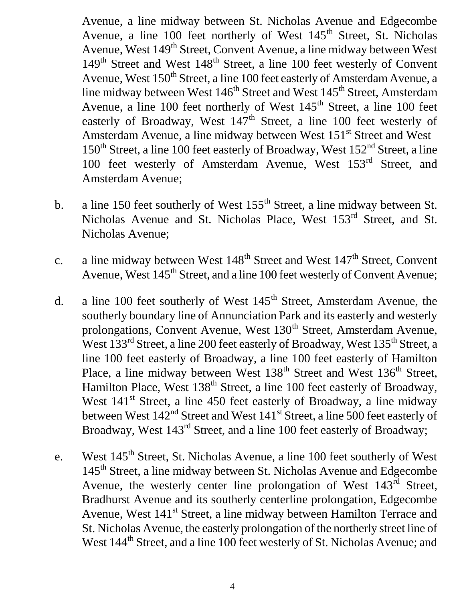Avenue, a line midway between St. Nicholas Avenue and Edgecombe Avenue, a line  $100$  feet northerly of West  $145<sup>th</sup>$  Street, St. Nicholas Avenue, West 149<sup>th</sup> Street, Convent Avenue, a line midway between West  $149<sup>th</sup>$  Street and West  $148<sup>th</sup>$  Street, a line 100 feet westerly of Convent Avenue, West 150<sup>th</sup> Street, a line 100 feet easterly of Amsterdam Avenue, a line midway between West  $146<sup>th</sup>$  Street and West  $145<sup>th</sup>$  Street, Amsterdam Avenue, a line 100 feet northerly of West 145<sup>th</sup> Street, a line 100 feet easterly of Broadway, West  $147<sup>th</sup>$  Street, a line 100 feet westerly of Amsterdam Avenue, a line midway between West 151<sup>st</sup> Street and West  $150<sup>th</sup>$  Street, a line 100 feet easterly of Broadway, West  $152<sup>nd</sup>$  Street, a line 100 feet westerly of Amsterdam Avenue, West 153rd Street, and Amsterdam Avenue;

- b. a line 150 feet southerly of West  $155<sup>th</sup>$  Street, a line midway between St. Nicholas Avenue and St. Nicholas Place, West 153<sup>rd</sup> Street, and St. Nicholas Avenue;
- c. a line midway between West  $148<sup>th</sup>$  Street and West  $147<sup>th</sup>$  Street, Convent Avenue, West 145<sup>th</sup> Street, and a line 100 feet westerly of Convent Avenue;
- d. a line 100 feet southerly of West  $145<sup>th</sup>$  Street, Amsterdam Avenue, the southerly boundary line of Annunciation Park and its easterly and westerly prolongations, Convent Avenue, West 130<sup>th</sup> Street, Amsterdam Avenue, West 133<sup>rd</sup> Street, a line 200 feet easterly of Broadway, West 135<sup>th</sup> Street, a line 100 feet easterly of Broadway, a line 100 feet easterly of Hamilton Place, a line midway between West  $138<sup>th</sup>$  Street and West  $136<sup>th</sup>$  Street, Hamilton Place, West 138<sup>th</sup> Street, a line 100 feet easterly of Broadway, West 141<sup>st</sup> Street, a line 450 feet easterly of Broadway, a line midway between West  $142<sup>nd</sup>$  Street and West  $141<sup>st</sup>$  Street, a line 500 feet easterly of Broadway, West 143<sup>rd</sup> Street, and a line 100 feet easterly of Broadway;
- e. West 145<sup>th</sup> Street, St. Nicholas Avenue, a line 100 feet southerly of West 145<sup>th</sup> Street, a line midway between St. Nicholas Avenue and Edgecombe Avenue, the westerly center line prolongation of West 143<sup>rd</sup> Street, Bradhurst Avenue and its southerly centerline prolongation, Edgecombe Avenue, West 141<sup>st</sup> Street, a line midway between Hamilton Terrace and St. Nicholas Avenue, the easterly prolongation of the northerly street line of West 144<sup>th</sup> Street, and a line 100 feet westerly of St. Nicholas Avenue; and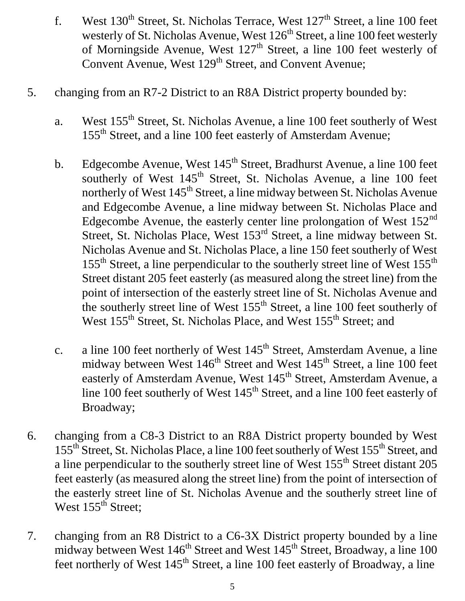- f. West  $130^{th}$  Street, St. Nicholas Terrace, West  $127^{th}$  Street, a line 100 feet westerly of St. Nicholas Avenue, West  $126<sup>th</sup>$  Street, a line 100 feet westerly of Morningside Avenue, West 127<sup>th</sup> Street, a line 100 feet westerly of Convent Avenue, West 129<sup>th</sup> Street, and Convent Avenue;
- 5. changing from an R7-2 District to an R8A District property bounded by:
	- a. West 155<sup>th</sup> Street, St. Nicholas Avenue, a line 100 feet southerly of West 155<sup>th</sup> Street, and a line 100 feet easterly of Amsterdam Avenue;
	- b. Edgecombe Avenue, West  $145<sup>th</sup>$  Street, Bradhurst Avenue, a line 100 feet southerly of West 145<sup>th</sup> Street, St. Nicholas Avenue, a line 100 feet northerly of West 145<sup>th</sup> Street, a line midway between St. Nicholas Avenue and Edgecombe Avenue, a line midway between St. Nicholas Place and Edgecombe Avenue, the easterly center line prolongation of West  $152<sup>nd</sup>$ Street, St. Nicholas Place, West 153<sup>rd</sup> Street, a line midway between St. Nicholas Avenue and St. Nicholas Place, a line 150 feet southerly of West  $155<sup>th</sup>$  Street, a line perpendicular to the southerly street line of West  $155<sup>th</sup>$ Street distant 205 feet easterly (as measured along the street line) from the point of intersection of the easterly street line of St. Nicholas Avenue and the southerly street line of West  $155<sup>th</sup>$  Street, a line 100 feet southerly of West 155<sup>th</sup> Street, St. Nicholas Place, and West 155<sup>th</sup> Street; and
	- c. a line 100 feet northerly of West  $145<sup>th</sup>$  Street, Amsterdam Avenue, a line midway between West 146<sup>th</sup> Street and West 145<sup>th</sup> Street, a line 100 feet easterly of Amsterdam Avenue, West 145<sup>th</sup> Street, Amsterdam Avenue, a line 100 feet southerly of West  $145<sup>th</sup>$  Street, and a line 100 feet easterly of Broadway;
- 6. changing from a C8-3 District to an R8A District property bounded by West 155<sup>th</sup> Street, St. Nicholas Place, a line 100 feet southerly of West 155<sup>th</sup> Street, and a line perpendicular to the southerly street line of West 155<sup>th</sup> Street distant 205 feet easterly (as measured along the street line) from the point of intersection of the easterly street line of St. Nicholas Avenue and the southerly street line of West 155<sup>th</sup> Street;
- 7. changing from an R8 District to a C6-3X District property bounded by a line midway between West 146<sup>th</sup> Street and West 145<sup>th</sup> Street, Broadway, a line 100 feet northerly of West 145<sup>th</sup> Street, a line 100 feet easterly of Broadway, a line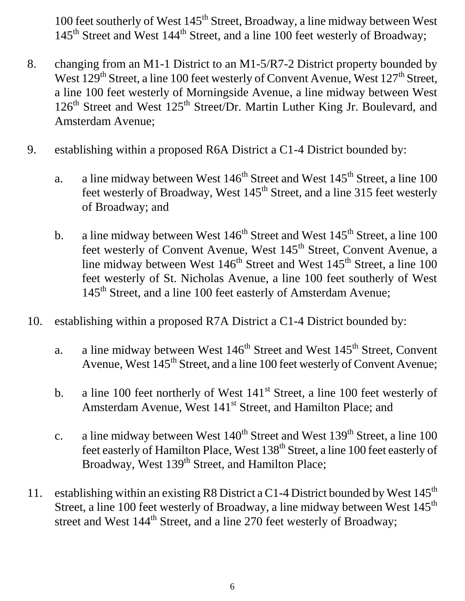100 feet southerly of West 145<sup>th</sup> Street, Broadway, a line midway between West 145<sup>th</sup> Street and West 144<sup>th</sup> Street, and a line 100 feet westerly of Broadway;

- 8. changing from an M1-1 District to an M1-5/R7-2 District property bounded by West  $129<sup>th</sup>$  Street, a line 100 feet westerly of Convent Avenue, West  $127<sup>th</sup>$  Street, a line 100 feet westerly of Morningside Avenue, a line midway between West  $126<sup>th</sup>$  Street and West  $125<sup>th</sup>$  Street/Dr. Martin Luther King Jr. Boulevard, and Amsterdam Avenue;
- 9. establishing within a proposed R6A District a C1-4 District bounded by:
	- a. a line midway between West  $146<sup>th</sup>$  Street and West  $145<sup>th</sup>$  Street, a line 100 feet westerly of Broadway, West  $145<sup>th</sup>$  Street, and a line 315 feet westerly of Broadway; and
	- b. a line midway between West  $146<sup>th</sup>$  Street and West  $145<sup>th</sup>$  Street, a line 100 feet westerly of Convent Avenue, West 145<sup>th</sup> Street, Convent Avenue, a line midway between West  $146<sup>th</sup>$  Street and West  $145<sup>th</sup>$  Street, a line 100 feet westerly of St. Nicholas Avenue, a line 100 feet southerly of West 145<sup>th</sup> Street, and a line 100 feet easterly of Amsterdam Avenue;
- 10. establishing within a proposed R7A District a C1-4 District bounded by:
	- a. a line midway between West  $146<sup>th</sup>$  Street and West  $145<sup>th</sup>$  Street, Convent Avenue, West  $145<sup>th</sup>$  Street, and a line 100 feet westerly of Convent Avenue;
	- b. a line 100 feet northerly of West  $141<sup>st</sup>$  Street, a line 100 feet westerly of Amsterdam Avenue, West 141<sup>st</sup> Street, and Hamilton Place; and
	- c. a line midway between West  $140^{th}$  Street and West  $139^{th}$  Street, a line 100 feet easterly of Hamilton Place, West 138<sup>th</sup> Street, a line 100 feet easterly of Broadway, West 139<sup>th</sup> Street, and Hamilton Place;
- 11. establishing within an existing R8 District a C1-4 District bounded by West 145<sup>th</sup> Street, a line 100 feet westerly of Broadway, a line midway between West 145<sup>th</sup> street and West 144<sup>th</sup> Street, and a line 270 feet westerly of Broadway;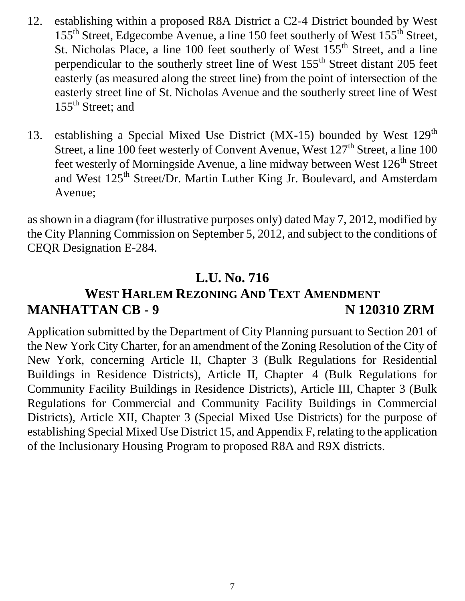- 12. establishing within a proposed R8A District a C2-4 District bounded by West 155th Street, Edgecombe Avenue, a line 150 feet southerly of West 155th Street, St. Nicholas Place, a line 100 feet southerly of West  $155<sup>th</sup>$  Street, and a line perpendicular to the southerly street line of West 155<sup>th</sup> Street distant 205 feet easterly (as measured along the street line) from the point of intersection of the easterly street line of St. Nicholas Avenue and the southerly street line of West 155<sup>th</sup> Street; and
- 13. establishing a Special Mixed Use District (MX-15) bounded by West 129<sup>th</sup> Street, a line 100 feet westerly of Convent Avenue, West 127<sup>th</sup> Street, a line 100 feet westerly of Morningside Avenue, a line midway between West 126<sup>th</sup> Street and West 125<sup>th</sup> Street/Dr. Martin Luther King Jr. Boulevard, and Amsterdam Avenue;

as shown in a diagram (for illustrative purposes only) dated May 7, 2012, modified by the City Planning Commission on September 5, 2012, and subject to the conditions of CEQR Designation E-284.

#### **L.U. No. 716**

#### **WEST HARLEM REZONING AND TEXT AMENDMENT MANHATTAN CB - 9 N 120310 ZRM**

Application submitted by the Department of City Planning pursuant to Section 201 of the New York City Charter, for an amendment of the Zoning Resolution of the City of New York, concerning Article II, Chapter 3 (Bulk Regulations for Residential Buildings in Residence Districts), Article II, Chapter 4 (Bulk Regulations for Community Facility Buildings in Residence Districts), Article III, Chapter 3 (Bulk Regulations for Commercial and Community Facility Buildings in Commercial Districts), Article XII, Chapter 3 (Special Mixed Use Districts) for the purpose of establishing Special Mixed Use District 15, and Appendix F, relating to the application of the Inclusionary Housing Program to proposed R8A and R9X districts.